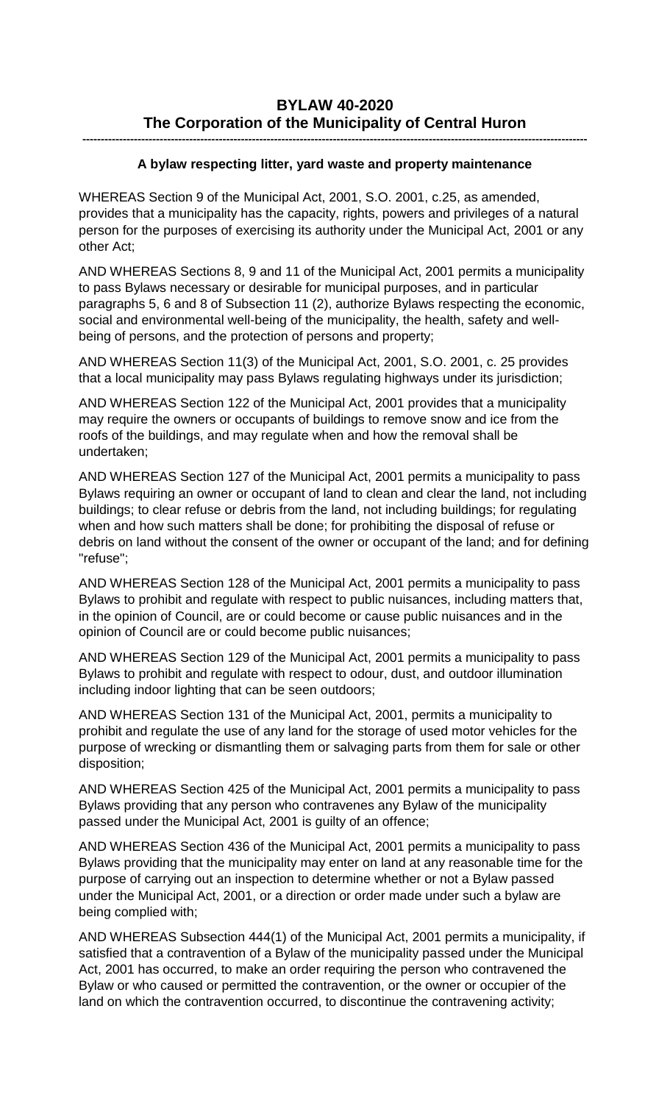# **BYLAW 40-2020 The Corporation of the Municipality of Central Huron**

### **A bylaw respecting litter, yard waste and property maintenance**

**-----------------------------------------------------------------------------------------------------------------------------------------**

WHEREAS Section 9 of the Municipal Act, 2001, S.O. 2001, c.25, as amended, provides that a municipality has the capacity, rights, powers and privileges of a natural person for the purposes of exercising its authority under the Municipal Act, 2001 or any other Act;

AND WHEREAS Sections 8, 9 and 11 of the Municipal Act, 2001 permits a municipality to pass Bylaws necessary or desirable for municipal purposes, and in particular paragraphs 5, 6 and 8 of Subsection 11 (2), authorize Bylaws respecting the economic, social and environmental well-being of the municipality, the health, safety and wellbeing of persons, and the protection of persons and property;

AND WHEREAS Section 11(3) of the Municipal Act, 2001, S.O. 2001, c. 25 provides that a local municipality may pass Bylaws regulating highways under its jurisdiction;

AND WHEREAS Section 122 of the Municipal Act, 2001 provides that a municipality may require the owners or occupants of buildings to remove snow and ice from the roofs of the buildings, and may regulate when and how the removal shall be undertaken;

AND WHEREAS Section 127 of the Municipal Act, 2001 permits a municipality to pass Bylaws requiring an owner or occupant of land to clean and clear the land, not including buildings; to clear refuse or debris from the land, not including buildings; for regulating when and how such matters shall be done; for prohibiting the disposal of refuse or debris on land without the consent of the owner or occupant of the land; and for defining "refuse";

AND WHEREAS Section 128 of the Municipal Act, 2001 permits a municipality to pass Bylaws to prohibit and regulate with respect to public nuisances, including matters that, in the opinion of Council, are or could become or cause public nuisances and in the opinion of Council are or could become public nuisances;

AND WHEREAS Section 129 of the Municipal Act, 2001 permits a municipality to pass Bylaws to prohibit and regulate with respect to odour, dust, and outdoor illumination including indoor lighting that can be seen outdoors;

AND WHEREAS Section 131 of the Municipal Act, 2001, permits a municipality to prohibit and regulate the use of any land for the storage of used motor vehicles for the purpose of wrecking or dismantling them or salvaging parts from them for sale or other disposition;

AND WHEREAS Section 425 of the Municipal Act, 2001 permits a municipality to pass Bylaws providing that any person who contravenes any Bylaw of the municipality passed under the Municipal Act, 2001 is guilty of an offence;

AND WHEREAS Section 436 of the Municipal Act, 2001 permits a municipality to pass Bylaws providing that the municipality may enter on land at any reasonable time for the purpose of carrying out an inspection to determine whether or not a Bylaw passed under the Municipal Act, 2001, or a direction or order made under such a bylaw are being complied with;

AND WHEREAS Subsection 444(1) of the Municipal Act, 2001 permits a municipality, if satisfied that a contravention of a Bylaw of the municipality passed under the Municipal Act, 2001 has occurred, to make an order requiring the person who contravened the Bylaw or who caused or permitted the contravention, or the owner or occupier of the land on which the contravention occurred, to discontinue the contravening activity;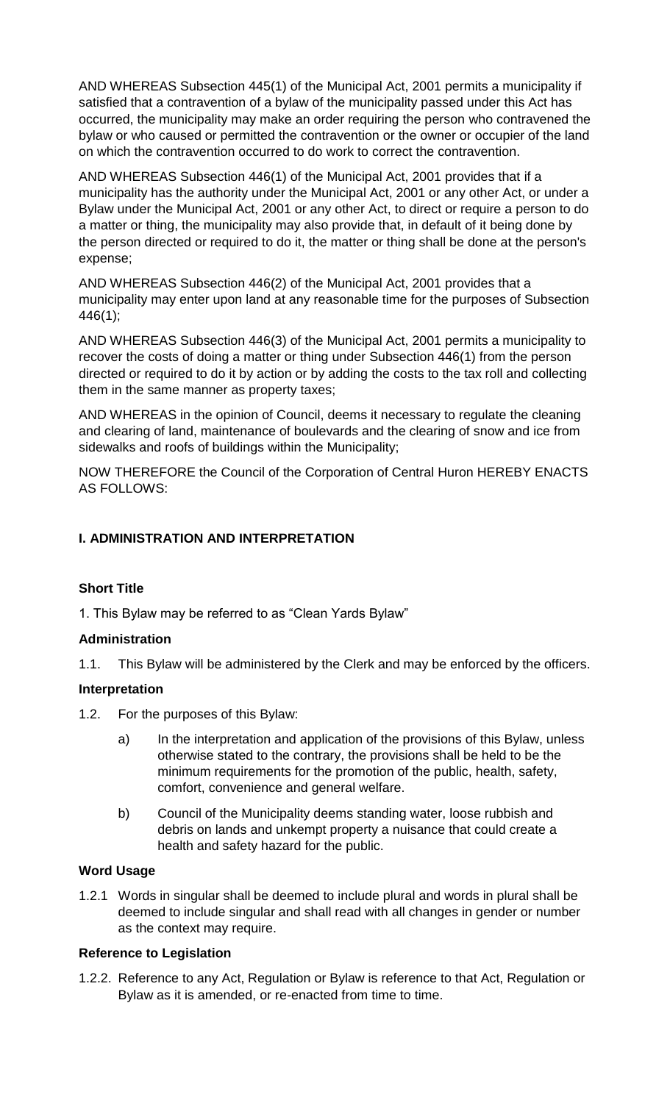AND WHEREAS Subsection 445(1) of the Municipal Act, 2001 permits a municipality if satisfied that a contravention of a bylaw of the municipality passed under this Act has occurred, the municipality may make an order requiring the person who contravened the bylaw or who caused or permitted the contravention or the owner or occupier of the land on which the contravention occurred to do work to correct the contravention.

AND WHEREAS Subsection 446(1) of the Municipal Act, 2001 provides that if a municipality has the authority under the Municipal Act, 2001 or any other Act, or under a Bylaw under the Municipal Act, 2001 or any other Act, to direct or require a person to do a matter or thing, the municipality may also provide that, in default of it being done by the person directed or required to do it, the matter or thing shall be done at the person's expense;

AND WHEREAS Subsection 446(2) of the Municipal Act, 2001 provides that a municipality may enter upon land at any reasonable time for the purposes of Subsection 446(1);

AND WHEREAS Subsection 446(3) of the Municipal Act, 2001 permits a municipality to recover the costs of doing a matter or thing under Subsection 446(1) from the person directed or required to do it by action or by adding the costs to the tax roll and collecting them in the same manner as property taxes;

AND WHEREAS in the opinion of Council, deems it necessary to regulate the cleaning and clearing of land, maintenance of boulevards and the clearing of snow and ice from sidewalks and roofs of buildings within the Municipality;

NOW THEREFORE the Council of the Corporation of Central Huron HEREBY ENACTS AS FOLLOWS:

## **I. ADMINISTRATION AND INTERPRETATION**

### **Short Title**

1. This Bylaw may be referred to as "Clean Yards Bylaw"

### **Administration**

1.1. This Bylaw will be administered by the Clerk and may be enforced by the officers.

### **Interpretation**

- 1.2. For the purposes of this Bylaw:
	- a) In the interpretation and application of the provisions of this Bylaw, unless otherwise stated to the contrary, the provisions shall be held to be the minimum requirements for the promotion of the public, health, safety, comfort, convenience and general welfare.
	- b) Council of the Municipality deems standing water, loose rubbish and debris on lands and unkempt property a nuisance that could create a health and safety hazard for the public.

### **Word Usage**

1.2.1 Words in singular shall be deemed to include plural and words in plural shall be deemed to include singular and shall read with all changes in gender or number as the context may require.

### **Reference to Legislation**

1.2.2. Reference to any Act, Regulation or Bylaw is reference to that Act, Regulation or Bylaw as it is amended, or re-enacted from time to time.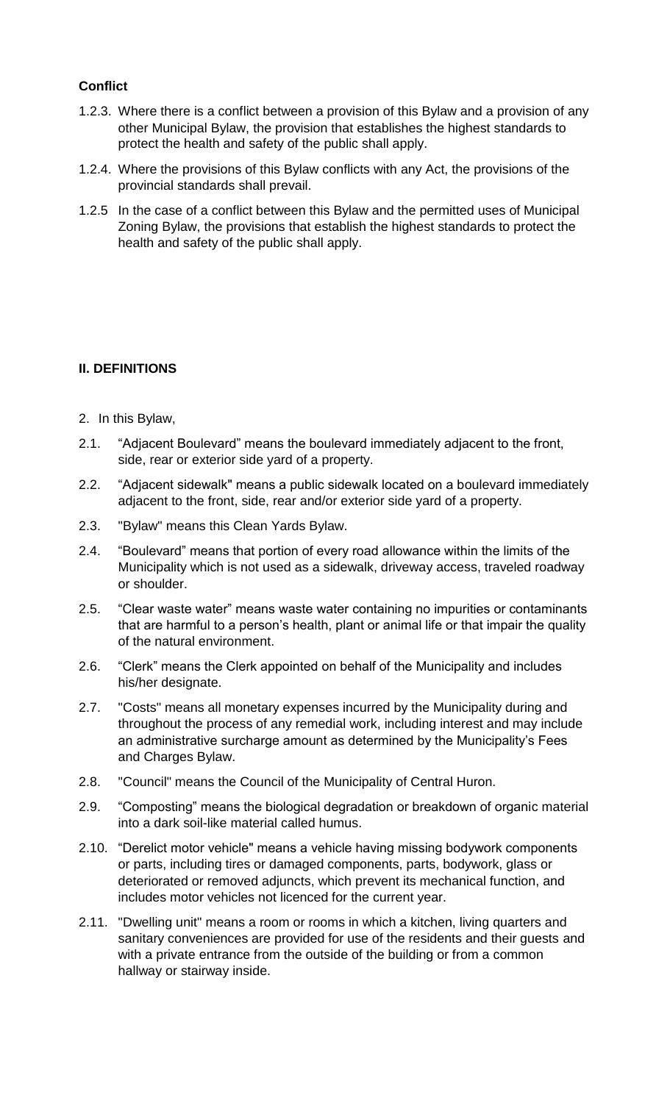## **Conflict**

- 1.2.3. Where there is a conflict between a provision of this Bylaw and a provision of any other Municipal Bylaw, the provision that establishes the highest standards to protect the health and safety of the public shall apply.
- 1.2.4. Where the provisions of this Bylaw conflicts with any Act, the provisions of the provincial standards shall prevail.
- 1.2.5 In the case of a conflict between this Bylaw and the permitted uses of Municipal Zoning Bylaw, the provisions that establish the highest standards to protect the health and safety of the public shall apply.

## **II. DEFINITIONS**

- 2. In this Bylaw,
- 2.1. "Adjacent Boulevard" means the boulevard immediately adjacent to the front, side, rear or exterior side yard of a property.
- 2.2. "Adjacent sidewalk" means a public sidewalk located on a boulevard immediately adjacent to the front, side, rear and/or exterior side yard of a property.
- 2.3. "Bylaw" means this Clean Yards Bylaw.
- 2.4. "Boulevard" means that portion of every road allowance within the limits of the Municipality which is not used as a sidewalk, driveway access, traveled roadway or shoulder.
- 2.5. "Clear waste water" means waste water containing no impurities or contaminants that are harmful to a person's health, plant or animal life or that impair the quality of the natural environment.
- 2.6. "Clerk" means the Clerk appointed on behalf of the Municipality and includes his/her designate.
- 2.7. "Costs" means all monetary expenses incurred by the Municipality during and throughout the process of any remedial work, including interest and may include an administrative surcharge amount as determined by the Municipality's Fees and Charges Bylaw.
- 2.8. "Council" means the Council of the Municipality of Central Huron.
- 2.9. "Composting" means the biological degradation or breakdown of organic material into a dark soil-like material called humus.
- 2.10. "Derelict motor vehicle" means a vehicle having missing bodywork components or parts, including tires or damaged components, parts, bodywork, glass or deteriorated or removed adjuncts, which prevent its mechanical function, and includes motor vehicles not licenced for the current year.
- 2.11. "Dwelling unit" means a room or rooms in which a kitchen, living quarters and sanitary conveniences are provided for use of the residents and their guests and with a private entrance from the outside of the building or from a common hallway or stairway inside.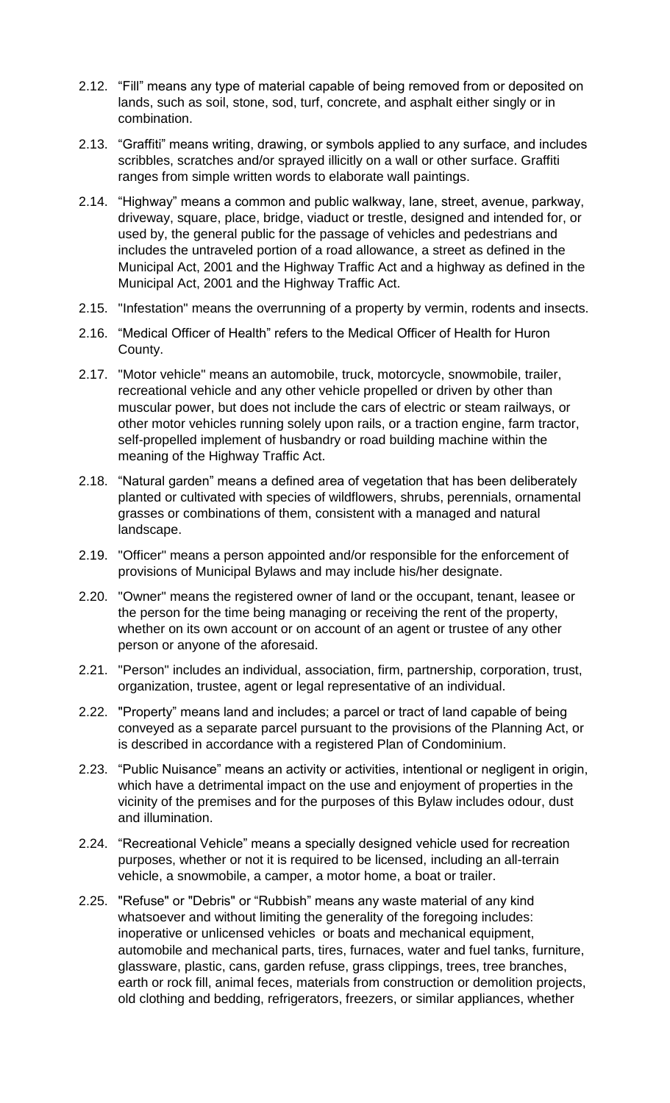- 2.12. "Fill" means any type of material capable of being removed from or deposited on lands, such as soil, stone, sod, turf, concrete, and asphalt either singly or in combination.
- 2.13. "Graffiti" means writing, drawing, or symbols applied to any surface, and includes scribbles, scratches and/or sprayed illicitly on a wall or other surface. Graffiti ranges from simple written words to elaborate wall paintings.
- 2.14. "Highway" means a common and public walkway, lane, street, avenue, parkway, driveway, square, place, bridge, viaduct or trestle, designed and intended for, or used by, the general public for the passage of vehicles and pedestrians and includes the untraveled portion of a road allowance, a street as defined in the Municipal Act, 2001 and the Highway Traffic Act and a highway as defined in the Municipal Act, 2001 and the Highway Traffic Act.
- 2.15. "Infestation" means the overrunning of a property by vermin, rodents and insects.
- 2.16. "Medical Officer of Health" refers to the Medical Officer of Health for Huron County.
- 2.17. "Motor vehicle" means an automobile, truck, motorcycle, snowmobile, trailer, recreational vehicle and any other vehicle propelled or driven by other than muscular power, but does not include the cars of electric or steam railways, or other motor vehicles running solely upon rails, or a traction engine, farm tractor, self-propelled implement of husbandry or road building machine within the meaning of the Highway Traffic Act.
- 2.18. "Natural garden" means a defined area of vegetation that has been deliberately planted or cultivated with species of wildflowers, shrubs, perennials, ornamental grasses or combinations of them, consistent with a managed and natural landscape.
- 2.19. "Officer" means a person appointed and/or responsible for the enforcement of provisions of Municipal Bylaws and may include his/her designate.
- 2.20. "Owner" means the registered owner of land or the occupant, tenant, leasee or the person for the time being managing or receiving the rent of the property, whether on its own account or on account of an agent or trustee of any other person or anyone of the aforesaid.
- 2.21. "Person" includes an individual, association, firm, partnership, corporation, trust, organization, trustee, agent or legal representative of an individual.
- 2.22. "Property" means land and includes; a parcel or tract of land capable of being conveyed as a separate parcel pursuant to the provisions of the Planning Act, or is described in accordance with a registered Plan of Condominium.
- 2.23. "Public Nuisance" means an activity or activities, intentional or negligent in origin, which have a detrimental impact on the use and enjoyment of properties in the vicinity of the premises and for the purposes of this Bylaw includes odour, dust and illumination.
- 2.24. "Recreational Vehicle" means a specially designed vehicle used for recreation purposes, whether or not it is required to be licensed, including an all-terrain vehicle, a snowmobile, a camper, a motor home, a boat or trailer.
- 2.25. "Refuse" or "Debris" or "Rubbish" means any waste material of any kind whatsoever and without limiting the generality of the foregoing includes: inoperative or unlicensed vehicles or boats and mechanical equipment, automobile and mechanical parts, tires, furnaces, water and fuel tanks, furniture, glassware, plastic, cans, garden refuse, grass clippings, trees, tree branches, earth or rock fill, animal feces, materials from construction or demolition projects, old clothing and bedding, refrigerators, freezers, or similar appliances, whether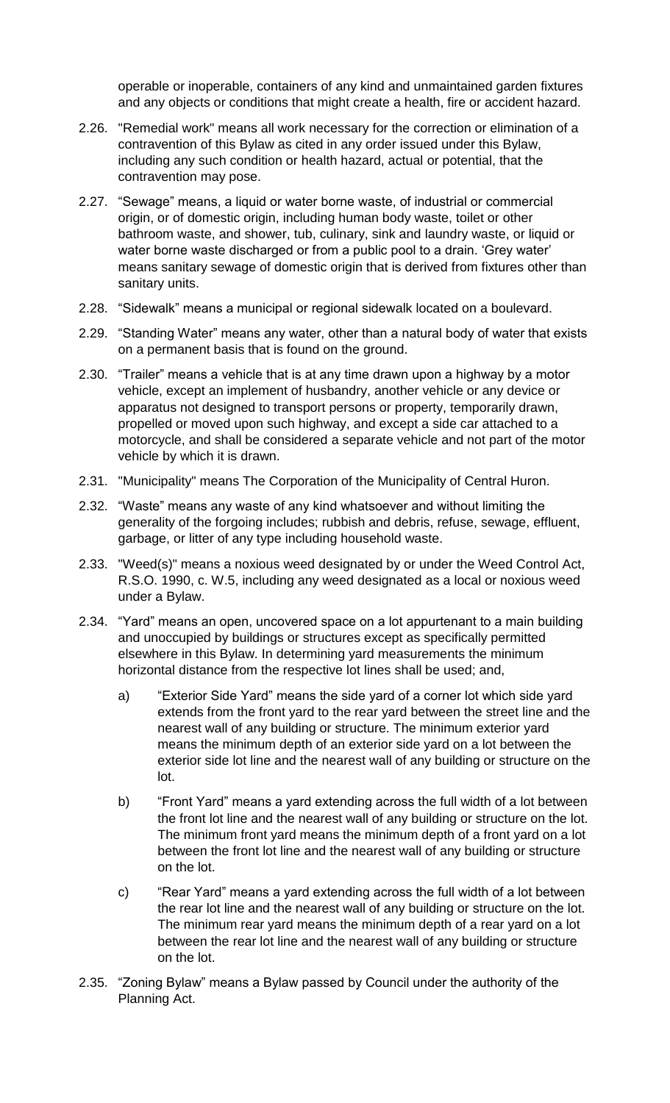operable or inoperable, containers of any kind and unmaintained garden fixtures and any objects or conditions that might create a health, fire or accident hazard.

- 2.26. "Remedial work" means all work necessary for the correction or elimination of a contravention of this Bylaw as cited in any order issued under this Bylaw, including any such condition or health hazard, actual or potential, that the contravention may pose.
- 2.27. "Sewage" means, a liquid or water borne waste, of industrial or commercial origin, or of domestic origin, including human body waste, toilet or other bathroom waste, and shower, tub, culinary, sink and laundry waste, or liquid or water borne waste discharged or from a public pool to a drain. 'Grey water' means sanitary sewage of domestic origin that is derived from fixtures other than sanitary units.
- 2.28. "Sidewalk" means a municipal or regional sidewalk located on a boulevard.
- 2.29. "Standing Water" means any water, other than a natural body of water that exists on a permanent basis that is found on the ground.
- 2.30. "Trailer" means a vehicle that is at any time drawn upon a highway by a motor vehicle, except an implement of husbandry, another vehicle or any device or apparatus not designed to transport persons or property, temporarily drawn, propelled or moved upon such highway, and except a side car attached to a motorcycle, and shall be considered a separate vehicle and not part of the motor vehicle by which it is drawn.
- 2.31. "Municipality" means The Corporation of the Municipality of Central Huron.
- 2.32. "Waste" means any waste of any kind whatsoever and without limiting the generality of the forgoing includes; rubbish and debris, refuse, sewage, effluent, garbage, or litter of any type including household waste.
- 2.33. "Weed(s)" means a noxious weed designated by or under the Weed Control Act, R.S.O. 1990, c. W.5, including any weed designated as a local or noxious weed under a Bylaw.
- 2.34. "Yard" means an open, uncovered space on a lot appurtenant to a main building and unoccupied by buildings or structures except as specifically permitted elsewhere in this Bylaw. In determining yard measurements the minimum horizontal distance from the respective lot lines shall be used; and,
	- a) "Exterior Side Yard" means the side yard of a corner lot which side yard extends from the front yard to the rear yard between the street line and the nearest wall of any building or structure. The minimum exterior yard means the minimum depth of an exterior side yard on a lot between the exterior side lot line and the nearest wall of any building or structure on the lot.
	- b) "Front Yard" means a yard extending across the full width of a lot between the front lot line and the nearest wall of any building or structure on the lot. The minimum front yard means the minimum depth of a front yard on a lot between the front lot line and the nearest wall of any building or structure on the lot.
	- c) "Rear Yard" means a yard extending across the full width of a lot between the rear lot line and the nearest wall of any building or structure on the lot. The minimum rear yard means the minimum depth of a rear yard on a lot between the rear lot line and the nearest wall of any building or structure on the lot.
- 2.35. "Zoning Bylaw" means a Bylaw passed by Council under the authority of the Planning Act.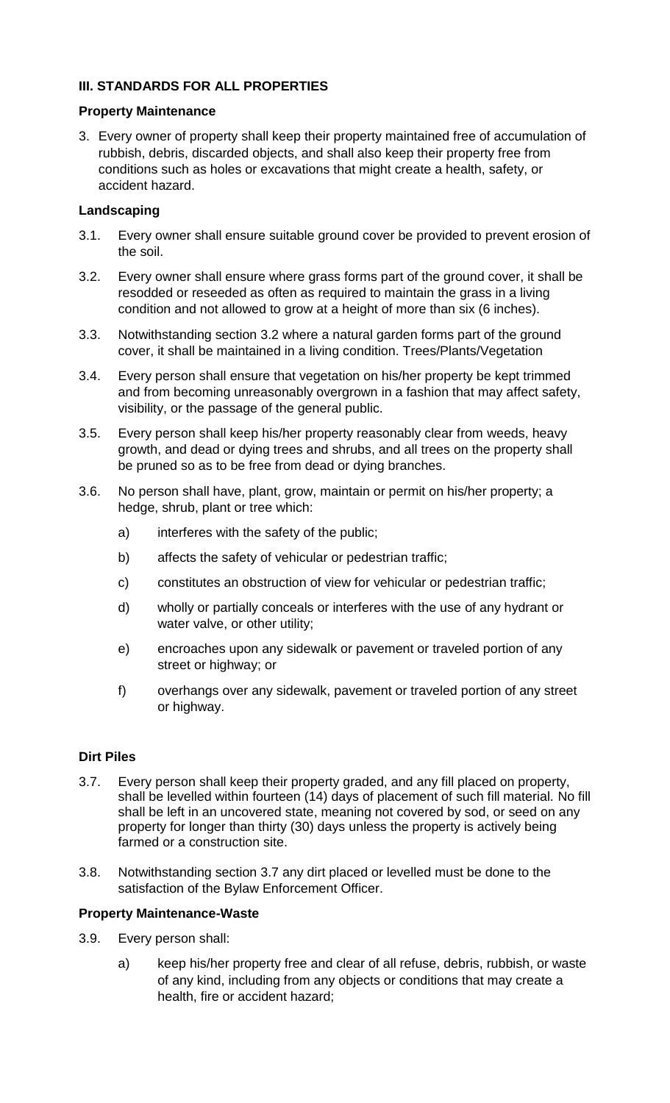# **III. STANDARDS FOR ALL PROPERTIES**

### **Property Maintenance**

3. Every owner of property shall keep their property maintained free of accumulation of rubbish, debris, discarded objects, and shall also keep their property free from conditions such as holes or excavations that might create a health, safety, or accident hazard.

### **Landscaping**

- 3.1. Every owner shall ensure suitable ground cover be provided to prevent erosion of the soil.
- 3.2. Every owner shall ensure where grass forms part of the ground cover, it shall be resodded or reseeded as often as required to maintain the grass in a living condition and not allowed to grow at a height of more than six (6 inches).
- 3.3. Notwithstanding section 3.2 where a natural garden forms part of the ground cover, it shall be maintained in a living condition. Trees/Plants/Vegetation
- 3.4. Every person shall ensure that vegetation on his/her property be kept trimmed and from becoming unreasonably overgrown in a fashion that may affect safety, visibility, or the passage of the general public.
- 3.5. Every person shall keep his/her property reasonably clear from weeds, heavy growth, and dead or dying trees and shrubs, and all trees on the property shall be pruned so as to be free from dead or dying branches.
- 3.6. No person shall have, plant, grow, maintain or permit on his/her property; a hedge, shrub, plant or tree which:
	- a) interferes with the safety of the public;
	- b) affects the safety of vehicular or pedestrian traffic;
	- c) constitutes an obstruction of view for vehicular or pedestrian traffic;
	- d) wholly or partially conceals or interferes with the use of any hydrant or water valve, or other utility;
	- e) encroaches upon any sidewalk or pavement or traveled portion of any street or highway; or
	- f) overhangs over any sidewalk, pavement or traveled portion of any street or highway.

### **Dirt Piles**

- 3.7. Every person shall keep their property graded, and any fill placed on property, shall be levelled within fourteen (14) days of placement of such fill material. No fill shall be left in an uncovered state, meaning not covered by sod, or seed on any property for longer than thirty (30) days unless the property is actively being farmed or a construction site.
- 3.8. Notwithstanding section 3.7 any dirt placed or levelled must be done to the satisfaction of the Bylaw Enforcement Officer.

### **Property Maintenance-Waste**

- 3.9. Every person shall:
	- a) keep his/her property free and clear of all refuse, debris, rubbish, or waste of any kind, including from any objects or conditions that may create a health, fire or accident hazard;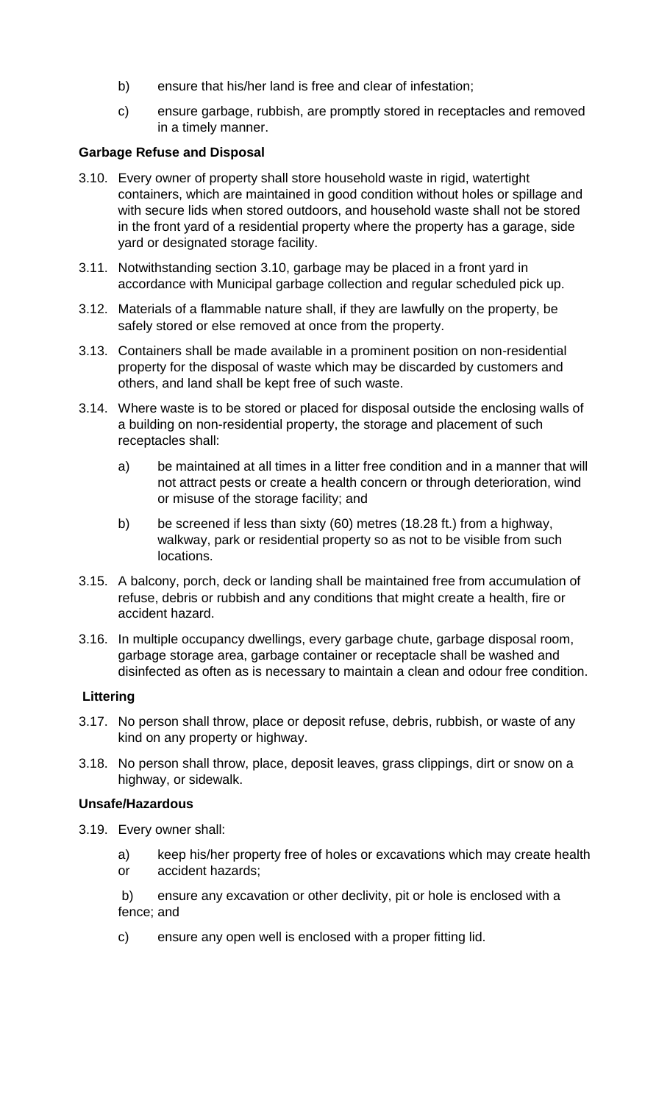- b) ensure that his/her land is free and clear of infestation;
- c) ensure garbage, rubbish, are promptly stored in receptacles and removed in a timely manner.

## **Garbage Refuse and Disposal**

- 3.10. Every owner of property shall store household waste in rigid, watertight containers, which are maintained in good condition without holes or spillage and with secure lids when stored outdoors, and household waste shall not be stored in the front yard of a residential property where the property has a garage, side yard or designated storage facility.
- 3.11. Notwithstanding section 3.10, garbage may be placed in a front yard in accordance with Municipal garbage collection and regular scheduled pick up.
- 3.12. Materials of a flammable nature shall, if they are lawfully on the property, be safely stored or else removed at once from the property.
- 3.13. Containers shall be made available in a prominent position on non-residential property for the disposal of waste which may be discarded by customers and others, and land shall be kept free of such waste.
- 3.14. Where waste is to be stored or placed for disposal outside the enclosing walls of a building on non-residential property, the storage and placement of such receptacles shall:
	- a) be maintained at all times in a litter free condition and in a manner that will not attract pests or create a health concern or through deterioration, wind or misuse of the storage facility; and
	- b) be screened if less than sixty (60) metres (18.28 ft.) from a highway, walkway, park or residential property so as not to be visible from such locations.
- 3.15. A balcony, porch, deck or landing shall be maintained free from accumulation of refuse, debris or rubbish and any conditions that might create a health, fire or accident hazard.
- 3.16. In multiple occupancy dwellings, every garbage chute, garbage disposal room, garbage storage area, garbage container or receptacle shall be washed and disinfected as often as is necessary to maintain a clean and odour free condition.

### **Littering**

- 3.17. No person shall throw, place or deposit refuse, debris, rubbish, or waste of any kind on any property or highway.
- 3.18. No person shall throw, place, deposit leaves, grass clippings, dirt or snow on a highway, or sidewalk.

### **Unsafe/Hazardous**

- 3.19. Every owner shall:
	- a) keep his/her property free of holes or excavations which may create health or accident hazards;
	- b) ensure any excavation or other declivity, pit or hole is enclosed with a fence; and
	- c) ensure any open well is enclosed with a proper fitting lid.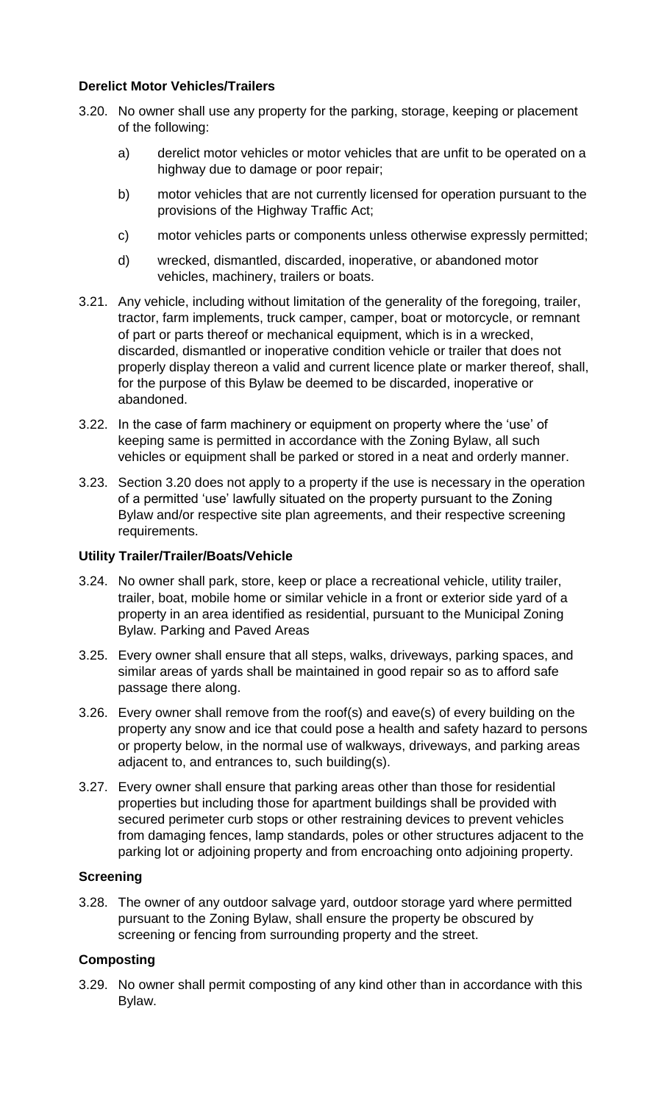### **Derelict Motor Vehicles/Trailers**

- 3.20. No owner shall use any property for the parking, storage, keeping or placement of the following:
	- a) derelict motor vehicles or motor vehicles that are unfit to be operated on a highway due to damage or poor repair;
	- b) motor vehicles that are not currently licensed for operation pursuant to the provisions of the Highway Traffic Act;
	- c) motor vehicles parts or components unless otherwise expressly permitted;
	- d) wrecked, dismantled, discarded, inoperative, or abandoned motor vehicles, machinery, trailers or boats.
- 3.21. Any vehicle, including without limitation of the generality of the foregoing, trailer, tractor, farm implements, truck camper, camper, boat or motorcycle, or remnant of part or parts thereof or mechanical equipment, which is in a wrecked, discarded, dismantled or inoperative condition vehicle or trailer that does not properly display thereon a valid and current licence plate or marker thereof, shall, for the purpose of this Bylaw be deemed to be discarded, inoperative or abandoned.
- 3.22. In the case of farm machinery or equipment on property where the 'use' of keeping same is permitted in accordance with the Zoning Bylaw, all such vehicles or equipment shall be parked or stored in a neat and orderly manner.
- 3.23. Section 3.20 does not apply to a property if the use is necessary in the operation of a permitted 'use' lawfully situated on the property pursuant to the Zoning Bylaw and/or respective site plan agreements, and their respective screening requirements.

### **Utility Trailer/Trailer/Boats/Vehicle**

- 3.24. No owner shall park, store, keep or place a recreational vehicle, utility trailer, trailer, boat, mobile home or similar vehicle in a front or exterior side yard of a property in an area identified as residential, pursuant to the Municipal Zoning Bylaw. Parking and Paved Areas
- 3.25. Every owner shall ensure that all steps, walks, driveways, parking spaces, and similar areas of yards shall be maintained in good repair so as to afford safe passage there along.
- 3.26. Every owner shall remove from the roof(s) and eave(s) of every building on the property any snow and ice that could pose a health and safety hazard to persons or property below, in the normal use of walkways, driveways, and parking areas adjacent to, and entrances to, such building(s).
- 3.27. Every owner shall ensure that parking areas other than those for residential properties but including those for apartment buildings shall be provided with secured perimeter curb stops or other restraining devices to prevent vehicles from damaging fences, lamp standards, poles or other structures adjacent to the parking lot or adjoining property and from encroaching onto adjoining property.

### **Screening**

3.28. The owner of any outdoor salvage yard, outdoor storage yard where permitted pursuant to the Zoning Bylaw, shall ensure the property be obscured by screening or fencing from surrounding property and the street.

### **Composting**

3.29. No owner shall permit composting of any kind other than in accordance with this Bylaw.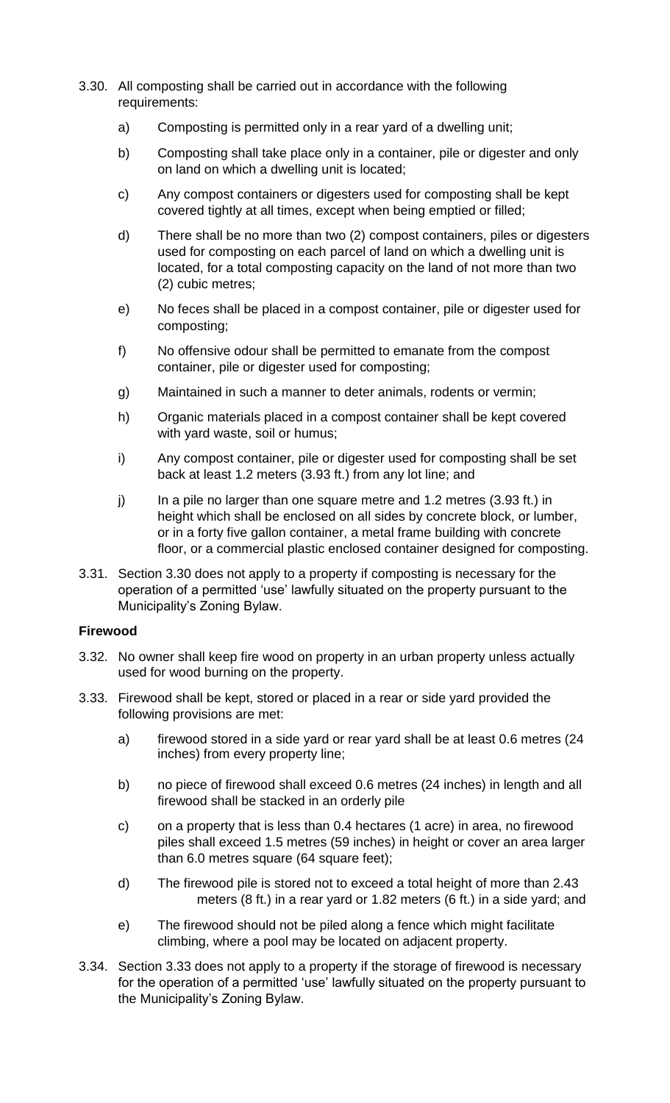- 3.30. All composting shall be carried out in accordance with the following requirements:
	- a) Composting is permitted only in a rear yard of a dwelling unit;
	- b) Composting shall take place only in a container, pile or digester and only on land on which a dwelling unit is located;
	- c) Any compost containers or digesters used for composting shall be kept covered tightly at all times, except when being emptied or filled;
	- d) There shall be no more than two (2) compost containers, piles or digesters used for composting on each parcel of land on which a dwelling unit is located, for a total composting capacity on the land of not more than two (2) cubic metres;
	- e) No feces shall be placed in a compost container, pile or digester used for composting;
	- f) No offensive odour shall be permitted to emanate from the compost container, pile or digester used for composting;
	- g) Maintained in such a manner to deter animals, rodents or vermin;
	- h) Organic materials placed in a compost container shall be kept covered with yard waste, soil or humus;
	- i) Any compost container, pile or digester used for composting shall be set back at least 1.2 meters (3.93 ft.) from any lot line; and
	- j) In a pile no larger than one square metre and  $1.2$  metres (3.93 ft.) in height which shall be enclosed on all sides by concrete block, or lumber, or in a forty five gallon container, a metal frame building with concrete floor, or a commercial plastic enclosed container designed for composting.
- 3.31. Section 3.30 does not apply to a property if composting is necessary for the operation of a permitted 'use' lawfully situated on the property pursuant to the Municipality's Zoning Bylaw.

### **Firewood**

- 3.32. No owner shall keep fire wood on property in an urban property unless actually used for wood burning on the property.
- 3.33. Firewood shall be kept, stored or placed in a rear or side yard provided the following provisions are met:
	- a) firewood stored in a side yard or rear yard shall be at least 0.6 metres (24 inches) from every property line;
	- b) no piece of firewood shall exceed 0.6 metres (24 inches) in length and all firewood shall be stacked in an orderly pile
	- c) on a property that is less than 0.4 hectares (1 acre) in area, no firewood piles shall exceed 1.5 metres (59 inches) in height or cover an area larger than 6.0 metres square (64 square feet);
	- d) The firewood pile is stored not to exceed a total height of more than 2.43 meters (8 ft.) in a rear yard or 1.82 meters (6 ft.) in a side yard; and
	- e) The firewood should not be piled along a fence which might facilitate climbing, where a pool may be located on adjacent property.
- 3.34. Section 3.33 does not apply to a property if the storage of firewood is necessary for the operation of a permitted 'use' lawfully situated on the property pursuant to the Municipality's Zoning Bylaw.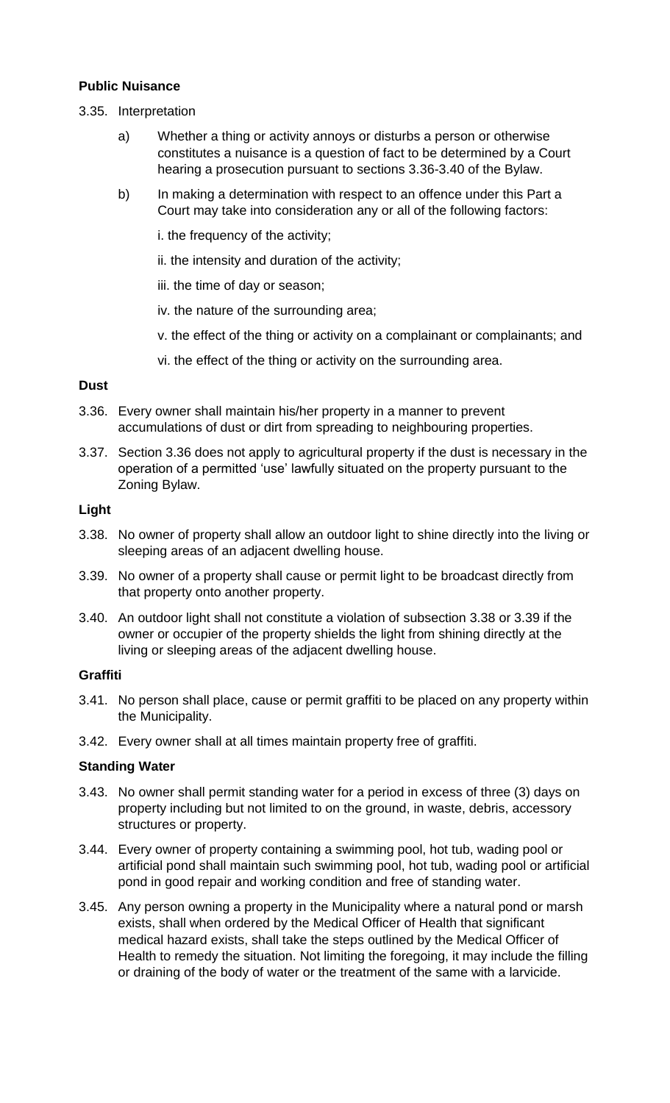### **Public Nuisance**

- 3.35. Interpretation
	- a) Whether a thing or activity annoys or disturbs a person or otherwise constitutes a nuisance is a question of fact to be determined by a Court hearing a prosecution pursuant to sections 3.36-3.40 of the Bylaw.
	- b) In making a determination with respect to an offence under this Part a Court may take into consideration any or all of the following factors:
		- i. the frequency of the activity;
		- ii. the intensity and duration of the activity;
		- iii. the time of day or season;
		- iv. the nature of the surrounding area;
		- v. the effect of the thing or activity on a complainant or complainants; and
		- vi. the effect of the thing or activity on the surrounding area.

#### **Dust**

- 3.36. Every owner shall maintain his/her property in a manner to prevent accumulations of dust or dirt from spreading to neighbouring properties.
- 3.37. Section 3.36 does not apply to agricultural property if the dust is necessary in the operation of a permitted 'use' lawfully situated on the property pursuant to the Zoning Bylaw.

#### **Light**

- 3.38. No owner of property shall allow an outdoor light to shine directly into the living or sleeping areas of an adjacent dwelling house.
- 3.39. No owner of a property shall cause or permit light to be broadcast directly from that property onto another property.
- 3.40. An outdoor light shall not constitute a violation of subsection 3.38 or 3.39 if the owner or occupier of the property shields the light from shining directly at the living or sleeping areas of the adjacent dwelling house.

#### **Graffiti**

- 3.41. No person shall place, cause or permit graffiti to be placed on any property within the Municipality.
- 3.42. Every owner shall at all times maintain property free of graffiti.

#### **Standing Water**

- 3.43. No owner shall permit standing water for a period in excess of three (3) days on property including but not limited to on the ground, in waste, debris, accessory structures or property.
- 3.44. Every owner of property containing a swimming pool, hot tub, wading pool or artificial pond shall maintain such swimming pool, hot tub, wading pool or artificial pond in good repair and working condition and free of standing water.
- 3.45. Any person owning a property in the Municipality where a natural pond or marsh exists, shall when ordered by the Medical Officer of Health that significant medical hazard exists, shall take the steps outlined by the Medical Officer of Health to remedy the situation. Not limiting the foregoing, it may include the filling or draining of the body of water or the treatment of the same with a larvicide.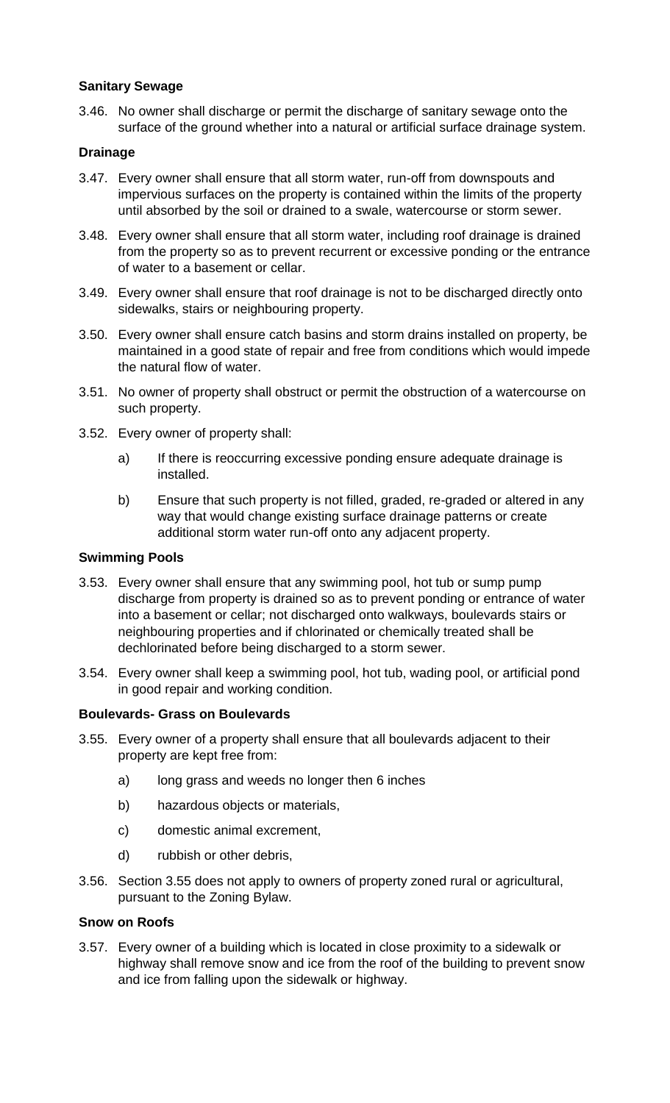### **Sanitary Sewage**

3.46. No owner shall discharge or permit the discharge of sanitary sewage onto the surface of the ground whether into a natural or artificial surface drainage system.

#### **Drainage**

- 3.47. Every owner shall ensure that all storm water, run-off from downspouts and impervious surfaces on the property is contained within the limits of the property until absorbed by the soil or drained to a swale, watercourse or storm sewer.
- 3.48. Every owner shall ensure that all storm water, including roof drainage is drained from the property so as to prevent recurrent or excessive ponding or the entrance of water to a basement or cellar.
- 3.49. Every owner shall ensure that roof drainage is not to be discharged directly onto sidewalks, stairs or neighbouring property.
- 3.50. Every owner shall ensure catch basins and storm drains installed on property, be maintained in a good state of repair and free from conditions which would impede the natural flow of water.
- 3.51. No owner of property shall obstruct or permit the obstruction of a watercourse on such property.
- 3.52. Every owner of property shall:
	- a) If there is reoccurring excessive ponding ensure adequate drainage is installed.
	- b) Ensure that such property is not filled, graded, re-graded or altered in any way that would change existing surface drainage patterns or create additional storm water run-off onto any adjacent property.

#### **Swimming Pools**

- 3.53. Every owner shall ensure that any swimming pool, hot tub or sump pump discharge from property is drained so as to prevent ponding or entrance of water into a basement or cellar; not discharged onto walkways, boulevards stairs or neighbouring properties and if chlorinated or chemically treated shall be dechlorinated before being discharged to a storm sewer.
- 3.54. Every owner shall keep a swimming pool, hot tub, wading pool, or artificial pond in good repair and working condition.

#### **Boulevards- Grass on Boulevards**

- 3.55. Every owner of a property shall ensure that all boulevards adjacent to their property are kept free from:
	- a) long grass and weeds no longer then 6 inches
	- b) hazardous objects or materials,
	- c) domestic animal excrement,
	- d) rubbish or other debris,
- 3.56. Section 3.55 does not apply to owners of property zoned rural or agricultural, pursuant to the Zoning Bylaw.

### **Snow on Roofs**

3.57. Every owner of a building which is located in close proximity to a sidewalk or highway shall remove snow and ice from the roof of the building to prevent snow and ice from falling upon the sidewalk or highway.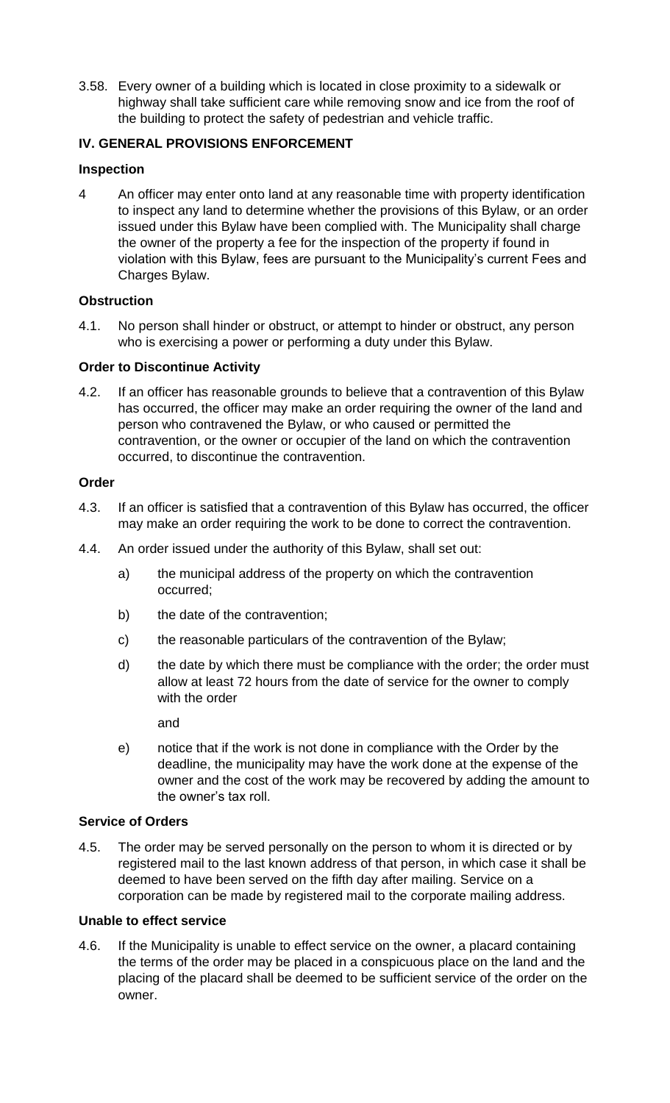3.58. Every owner of a building which is located in close proximity to a sidewalk or highway shall take sufficient care while removing snow and ice from the roof of the building to protect the safety of pedestrian and vehicle traffic.

## **IV. GENERAL PROVISIONS ENFORCEMENT**

## **Inspection**

4 An officer may enter onto land at any reasonable time with property identification to inspect any land to determine whether the provisions of this Bylaw, or an order issued under this Bylaw have been complied with. The Municipality shall charge the owner of the property a fee for the inspection of the property if found in violation with this Bylaw, fees are pursuant to the Municipality's current Fees and Charges Bylaw.

## **Obstruction**

4.1. No person shall hinder or obstruct, or attempt to hinder or obstruct, any person who is exercising a power or performing a duty under this Bylaw.

### **Order to Discontinue Activity**

4.2. If an officer has reasonable grounds to believe that a contravention of this Bylaw has occurred, the officer may make an order requiring the owner of the land and person who contravened the Bylaw, or who caused or permitted the contravention, or the owner or occupier of the land on which the contravention occurred, to discontinue the contravention.

### **Order**

- 4.3. If an officer is satisfied that a contravention of this Bylaw has occurred, the officer may make an order requiring the work to be done to correct the contravention.
- 4.4. An order issued under the authority of this Bylaw, shall set out:
	- a) the municipal address of the property on which the contravention occurred;
	- b) the date of the contravention;
	- c) the reasonable particulars of the contravention of the Bylaw;
	- d) the date by which there must be compliance with the order; the order must allow at least 72 hours from the date of service for the owner to comply with the order

and

e) notice that if the work is not done in compliance with the Order by the deadline, the municipality may have the work done at the expense of the owner and the cost of the work may be recovered by adding the amount to the owner's tax roll.

### **Service of Orders**

4.5. The order may be served personally on the person to whom it is directed or by registered mail to the last known address of that person, in which case it shall be deemed to have been served on the fifth day after mailing. Service on a corporation can be made by registered mail to the corporate mailing address.

### **Unable to effect service**

4.6. If the Municipality is unable to effect service on the owner, a placard containing the terms of the order may be placed in a conspicuous place on the land and the placing of the placard shall be deemed to be sufficient service of the order on the owner.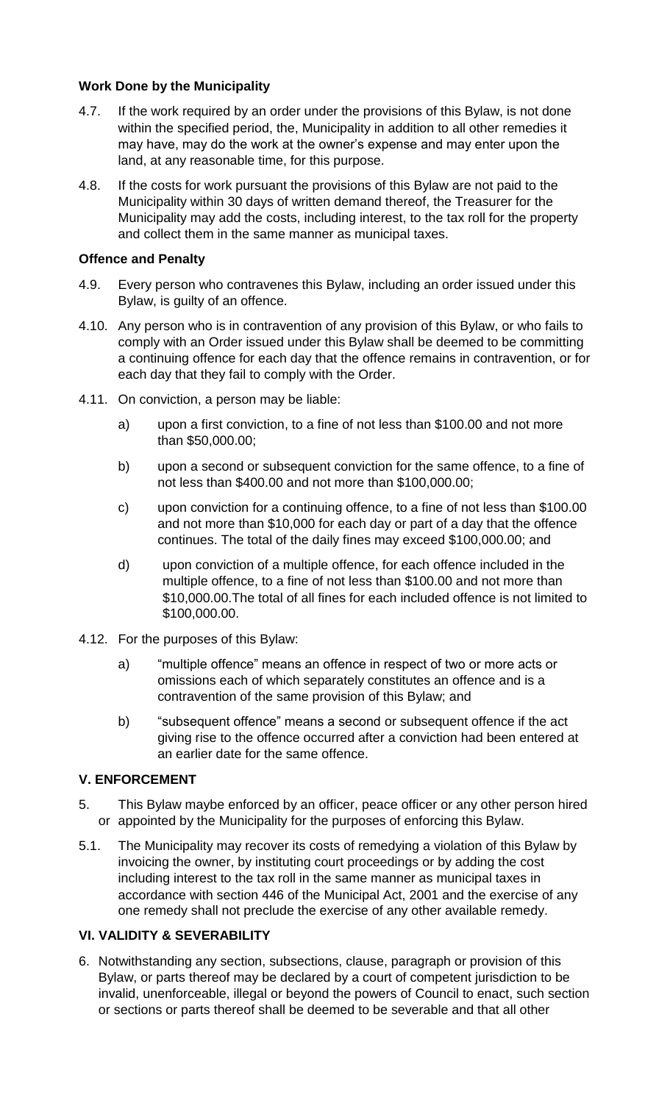## **Work Done by the Municipality**

- 4.7. If the work required by an order under the provisions of this Bylaw, is not done within the specified period, the, Municipality in addition to all other remedies it may have, may do the work at the owner's expense and may enter upon the land, at any reasonable time, for this purpose.
- 4.8. If the costs for work pursuant the provisions of this Bylaw are not paid to the Municipality within 30 days of written demand thereof, the Treasurer for the Municipality may add the costs, including interest, to the tax roll for the property and collect them in the same manner as municipal taxes.

## **Offence and Penalty**

- 4.9. Every person who contravenes this Bylaw, including an order issued under this Bylaw, is guilty of an offence.
- 4.10. Any person who is in contravention of any provision of this Bylaw, or who fails to comply with an Order issued under this Bylaw shall be deemed to be committing a continuing offence for each day that the offence remains in contravention, or for each day that they fail to comply with the Order.
- 4.11. On conviction, a person may be liable:
	- a) upon a first conviction, to a fine of not less than \$100.00 and not more than \$50,000.00;
	- b) upon a second or subsequent conviction for the same offence, to a fine of not less than \$400.00 and not more than \$100,000.00;
	- c) upon conviction for a continuing offence, to a fine of not less than \$100.00 and not more than \$10,000 for each day or part of a day that the offence continues. The total of the daily fines may exceed \$100,000.00; and
	- d) upon conviction of a multiple offence, for each offence included in the multiple offence, to a fine of not less than \$100.00 and not more than \$10,000.00.The total of all fines for each included offence is not limited to \$100,000.00.
- 4.12. For the purposes of this Bylaw:
	- a) "multiple offence" means an offence in respect of two or more acts or omissions each of which separately constitutes an offence and is a contravention of the same provision of this Bylaw; and
	- b) "subsequent offence" means a second or subsequent offence if the act giving rise to the offence occurred after a conviction had been entered at an earlier date for the same offence.

# **V. ENFORCEMENT**

- 5. This Bylaw maybe enforced by an officer, peace officer or any other person hired or appointed by the Municipality for the purposes of enforcing this Bylaw.
- 5.1. The Municipality may recover its costs of remedying a violation of this Bylaw by invoicing the owner, by instituting court proceedings or by adding the cost including interest to the tax roll in the same manner as municipal taxes in accordance with section 446 of the Municipal Act, 2001 and the exercise of any one remedy shall not preclude the exercise of any other available remedy.

# **VI. VALIDITY & SEVERABILITY**

6. Notwithstanding any section, subsections, clause, paragraph or provision of this Bylaw, or parts thereof may be declared by a court of competent jurisdiction to be invalid, unenforceable, illegal or beyond the powers of Council to enact, such section or sections or parts thereof shall be deemed to be severable and that all other